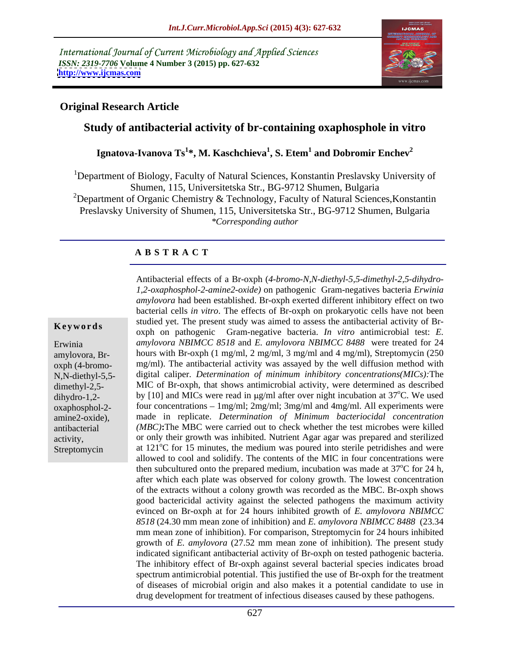International Journal of Current Microbiology and Applied Sciences *ISSN: 2319-7706* **Volume 4 Number 3 (2015) pp. 627-632 <http://www.ijcmas.com>**



## **Original Research Article**

## **Study of antibacterial activity of br-containing oxaphosphole in vitro**

### ${\bf I}$ gnatova-Ivanova Ts $^{1*}$ , M. Kaschchieva $^{1}$ , S. Etem $^{1}$  and Dobromir Enchev $^{2}$  **and Dobromir Enchev<sup>2</sup>**

<sup>1</sup>Department of Biology, Faculty of Natural Sciences, Konstantin Preslavsky University of Shumen, 115, Universitetska Str., BG-9712 Shumen, Bulgaria <sup>2</sup>Department of Organic Chemistry & Technology, Faculty of Natural Sciences, Konstantin Preslavsky University of Shumen, 115, Universitetska Str., BG-9712 Shumen, Bulgaria *\*Corresponding author*

## **A B S T R A C T**

Streptomycin

Antibacterial effects of a Br-oxph (*4-bromo-N,N-diethyl-5,5-dimethyl-2,5-dihydro- 1,2-oxaphosphol-2-amine2-oxide)* on pathogenic Gram-negatives bacteria *Erwinia amylovora* had been established. Br-oxph exerted different inhibitory effect on two bacterial cells *in vitro*. The effects of Br-oxph on prokaryotic cells have not been studied yet. The present study was aimed to assess the antibacterial activity of Br- **Keywords** studied yet. The present study was anned to assess the antibacterial activity of Bi-<br>
oxph on pathogenic Gram-negative bacteria. *In vitro* antimicrobial test: *E. amylovora NBIMCC 8518* and *E. amylovora NBIMCC 8488* were treated for 24 Erwinia amylovora, Br-<br>hours with Br-oxph (1 mg/ml, 2 mg/ml, 3 mg/ml and 4 mg/ml), Streptomycin (250 mg/ml). The antibacterial activity was assayed by the well diffusion method with oxph (4-bromo digital caliper. *Determination of minimum inhibitory concentrations(MICs):*The N,N-diethyl-5,5 dimethyl-2,5- MIC of Br-oxph, that shows antimicrobial activity, were determined as described dihydro-1,2- by [10] and MICs were read in  $\mu$ g/ml after over night incubation at 37<sup>o</sup>C. We used oC. We used oxaphosphol-2- four concentrations – 1mg/ml; 2mg/ml; 3mg/ml and 4mg/ml. All experiments were made in replicate. *Determination of Minimum bacteriocidal concentration* amine2-oxide), antibacterial *(MBC)*: The MBC were carried out to check whether the test microbes were killed or only their growth was inhibited. Nutrient Agar agar was prepared and sterilized activity, at  $121^{\circ}$ C for 15 minutes, the medium was poured into sterile petridishes and were allowed to cool and solidify. The contents of the MIC in four concentrations were then subcultured onto the prepared medium, incubation was made at  $37^{\circ}$ C for 24 h,  $\rm{^{\circ}C}$  for 24 h, after which each plate was observed for colony growth. The lowest concentration of the extracts without a colony growth was recorded as the MBC. Br-oxph shows good bactericidal activity against the selected pathogens the maximum activity evinced on Br-oxph at for 24 hours inhibited growth of *E. amylovora NBIMCC 8518* (24.30 mm mean zone of inhibition) and *E. amylovora NBIMCC 8488* (23.34 mm mean zone of inhibition). For comparison, Streptomycin for 24 hours inhibited growth of *E. amylovora* (27.52 mm mean zone of inhibition). The present study indicated significant antibacterial activity of Br-oxph on tested pathogenic bacteria. The inhibitory effect of Br-oxph against several bacterial species indicates broad spectrum antimicrobial potential. This justified the use of Br-oxph for the treatment of diseases of microbial origin and also makes it a potential candidate to use in drug development for treatment of infectious diseases caused by these pathogens.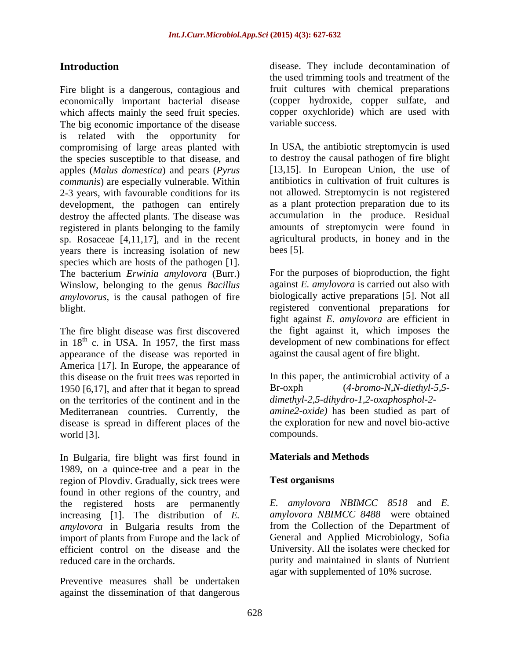Fire blight is a dangerous, contagious and economically important bacterial disease (copper hydroxide, copper sulfate, and which affects mainly the seed fruit species. The big economic importance of the disease is related with the opportunity for compromising of large areas planted with the species susceptible to that disease, and apples (*Malus domestica*) and pears (*Pyrus communis*) are especially vulnerable. Within development, the pathogen can entirely destroy the affected plants. The disease was registered in plants belonging to the family sp. Rosaceae [4,11,17], and in the recent years there is increasing isolation of new bees [5]. species which are hosts of the pathogen [1].<br>The bacterium *Erwinia amylovora* (Burr.) For the purposes of bioproduction, the fight Winslow, belonging to the genus *Bacillus amylovorus*, is the causal pathogen of fire

The fire blight disease was first discovered in  $18<sup>th</sup>$  c. in USA. In 1957, the first mass appearance of the disease was reported in America [17]. In Europe, the appearance of this disease on the fruit trees was reported in 1950 [6,17], and after that it began to spread on the territories of the continent and in the Mediterranean countries. Currently, the disease is spread in different places of the the exploration world [3]. world [3]. compounds.

In Bulgaria, fire blight was first found in 1989, on a quince-tree and a pear in the region of Plovdiv. Gradually, sick trees were **Test organisms** found in other regions of the country, and the registered hosts are permanently increasing [1]. The distribution of *E. amylovora* in Bulgaria results from the import of plants from Europe and the lack of efficient control on the disease and the University. All the isolates were checked for

Preventive measures shall be undertaken against the dissemination of that dangerous

**Introduction** disease. They include decontamination of the used trimming tools and treatment of the fruit cultures with chemical preparations copper oxychloride) which are used with variable success.

2-3 years, with favourable conditions for its not allowed. Streptomycin is not registered In USA, the antibiotic streptomycin is used to destroy the causal pathogen of fire blight [13,15]. In European Union, the use of antibiotics in cultivation of fruit cultures is as a plant protection preparation due to its accumulation in the produce. Residual amounts of streptomycin were found in agricultural products, in honey and in the  $bees [5].$ 

blight. registered conventional preparations for  $<sup>th</sup>$  c. in USA. In 1957, the first mass development of new combinations for effect</sup> For the purposes of bioproduction, the fight against *E. amylovora* is carried out also with biologically active preparations [5]. Not all fight against *E. amylovora* are efficient in the fight against it, which imposes the against the causal agent of fire blight.

> In this paper, the antimicrobial activity of a Br-oxph (*4-bromo-N,N-diethyl-5,5 dimethyl-2,5-dihydro-1,2-oxaphosphol-2 amine2-oxide)* has been studied as part of the exploration for new and novel bio-active compounds.

## **Materials and Methods**

## **Test organisms**

reduced care in the orchards. purity and maintained in slants of Nutrient *E. amylovora NBIMCC 8518* and *E. amylovora NBIMCC 8488* were obtained from the Collection of the Department of General and Applied Microbiology, Sofia agar with supplemented of 10% sucrose.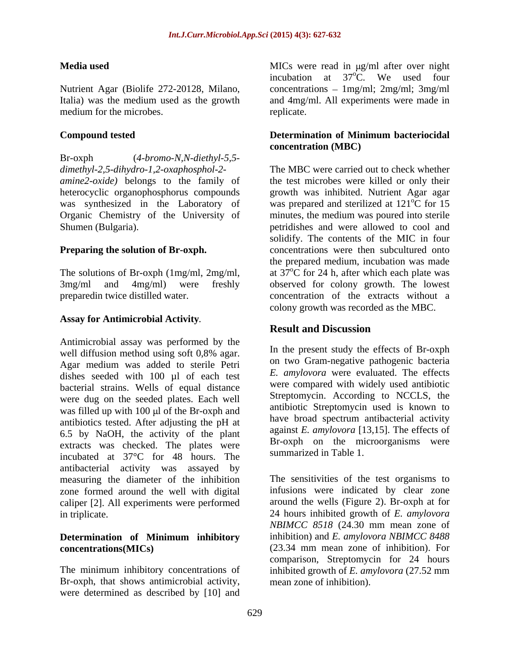medium for the microbes. The medium for the microbes.

Br-oxph (*4-bromo-N,N-diethyl-5,5 dimethyl-2,5-dihydro-1,2-oxaphosphol-2-* Organic Chemistry of the University of

# **Assay for Antimicrobial Activity***.*

Antimicrobial assay was performed by the well diffusion method using soft  $0.8\%$  agar. In the present study the effects of Br-oxph Agar medium was added to sterile Petri dishes seeded with 100 µl of each test bacterial strains. Wells of equal distance were dug on the seeded plates. Each well was filled up with  $100 \mu$  of the Br-oxph and antibiotics tested. After adjusting the pH at 6.5 by NaOH, the activity of the plant extracts was checked. The plates were incubated at 37°C for 48 hours. The antibacterial activity was assayed by measuring the diameter of the inhibition zone formed around the well with digital caliper [2]. All experiments were performed

# **Determination of Minimum inhibitory**

Br-oxph, that shows antimicrobial activity, were determined as described by [10] and

**Media used** MICs were read in  $\mu$ g/ml after over night Nutrient Agar (Biolife 272-20128, Milano, concentrations – 1mg/ml; 2mg/ml; 3mg/ml Italia) was the medium used as the growth and 4mg/ml. All experiments were made in incubation at  $37^{\circ}$ C. We used four  $\mathrm{C}$ . We used four replicate.

### **Compound tested Compound tested Compound tested Exercise 2 and 2 and 2 and 2 and 2 and 2 and 2 and 2 and 2 and 2 and 2 and 2 and 2 and 2 and 2 and 2 and 2 and 2 and 2 and 2 and 2 and 2 and 2 and 2 and 2 and 2 and 2 and 2 Determination of Minimum bacteriocidal concentration (MBC)**

*amine2-oxide)* belongs to the family of the test microbes were killed or only their heterocyclic organophosphorus compounds growth was inhibited. Nutrient Agar agar was synthesized in the Laboratory of was prepared and sterilized at 121<sup>o</sup>C for 15 Shumen (Bulgaria). The state of the petridishes and were allowed to cool and share allowed to cool and **Preparing the solution of Br-oxph.** concentrations were then subcultured onto The solutions of Br-oxph (1mg/ml, 2mg/ml, at 37°C for 24 h, after which each plate was 3mg/ml and 4mg/ml) were freshly observed for colony growth. The lowest preparedin twice distilled water. concentration of the extracts without a The MBC were carried out to check whether  $\overline{C}$  for 15 minutes, the medium was poured into sterile solidify. The contents of the MIC in four the prepared medium, incubation was made at  $37^{\circ}$ C for 24 h, after which each plate was observed for colony growth. The lowest colony growth was recorded as the MBC.

## **Result and Discussion**

In the present study the effects of Br-oxph on two Gram-negative pathogenic bacteria *E. amylovora* were evaluated. The effects were compared with widely used antibiotic Streptomycin. According to NCCLS, the antibiotic Streptomycin used is known to have broad spectrum antibacterial activity against *E. amylovora* [13,15]. The effects of Br-oxph on the microorganisms were summarized in Table 1.

in triplicate. 24 hours inhibited growth of *E. amylovora* **concentrations(MICs)**  (23.34 mm mean zone of inhibition). For The minimum inhibitory concentrations of inhibited growth of *E. amylovora* (27.52 mm The sensitivities of the test organisms to infusions were indicated by clear zone around the wells (Figure 2). Br-oxph at for *NBIMCC 8518* (24.30 mm mean zone of inhibition) and *E. amylovora NBIMCC 8488* comparison, Streptomycin for 24 hours mean zone of inhibition).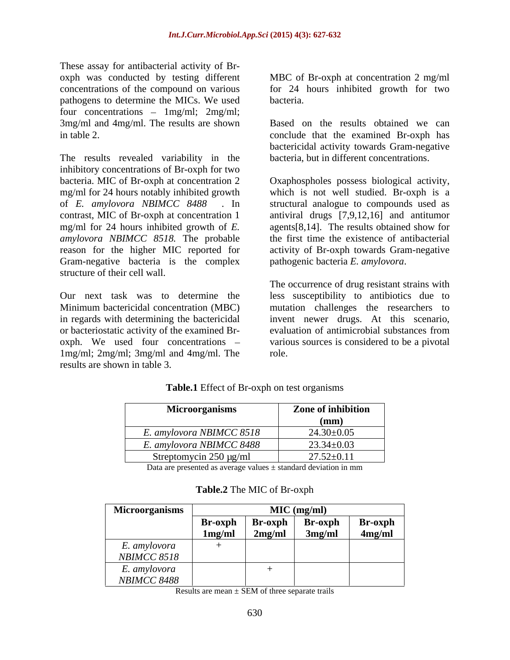These assay for antibacterial activity of Br pathogens to determine the MICs. We used four concentrations  $- 1$ mg/ml;  $2$ mg/ml; 3mg/ml and 4mg/ml. The results are shown Based on the results obtained we can in table 2. conclude that the examined Br-oxph has

The results revealed variability in the inhibitory concentrations of Br-oxph for two bacteria. MIC of Br-oxph at concentration 2 Oxaphospholes possess biological activity, mg/ml for 24 hours notably inhibited growth which is not well studied. Br-oxph is a of *E. amylovora NBIMCC 8488* . In structural analogue to compounds used as contrast, MIC of Br-oxph at concentration 1 antiviral drugs [7,9,12,16] and antitumor mg/ml for 24 hours inhibited growth of *E. amylovora NBIMCC 8518.* The probable the first time the existence of antibacterial reason for the higher MIC reported for activity of Br-oxph towards Gram-negative Gram-negative bacteria is the complex pathogenic bacteria E. amylovora.

1mg/ml; 2mg/ml; 3mg/ml and 4mg/ml. The results are shown in table 3.

oxph was conducted by testing different MBC of Br-oxph at concentration 2 mg/ml concentrations of the compound on various for 24 hours inhibited growth for two bacteria. **Exercísions** and the set of the set of the set of the set of the set of the set of the set of the set of the set of the set of the set of the set of the set of the set of the set of the set of the set of the set

> bactericidal activity towards Gram-negative bacteria, but in different concentrations.

> agents[8,14]. The results obtained show for

structure of their cell wall.<br>
Our next task was to determine the less susceptibility to antibiotics due to Minimum bactericidal concentration (MBC) mutation challenges the researchers to in regards with determining the bactericidal invent newer drugs. At this scenario, or bacteriostatic activity of the examined Br- evaluation of antimicrobial substances from oxph. We used four concentrations – various sources is considered to be a pivotal pathogenic bacteria *E. amylovora*. The occurrence of drug resistant strains with less susceptibility to antibiotics due to role.

| Microorganisms              | Zone of inhibition |
|-----------------------------|--------------------|
|                             | $(\mathbf{mm})$    |
| E. amylovora NBIMCC 8518    | $24.30 \pm 0.05$   |
| E. amylovora NBIMCC 8488    | $23.34 \pm 0.03$   |
| Streptomycin $250 \mu g/ml$ | $27.52 \pm 0.11$   |

## **Table.1** Effect of Br-oxph on test organisms

Data are presented as average values  $\pm$  standard deviation in mm

| <b>Microorganisms</b> | $MIC$ (mg/ml) |         |         |                |
|-----------------------|---------------|---------|---------|----------------|
|                       | Br-oxph       | Br-oxph | Br-oxph | <b>Br-oxph</b> |
|                       | 1mg/ml        | 2mg/ml  | 3mg/ml  | 4mg/ml         |
| E. amylovora          |               |         |         |                |
| <b>NBIMCC 8518</b>    |               |         |         |                |
| E. amylovora          |               |         |         |                |
| <b>NBIMCC 8488</b>    |               |         |         |                |

## **Table.2** The MIC of Br-oxph

Results are mean  $\pm$  SEM of three separate trails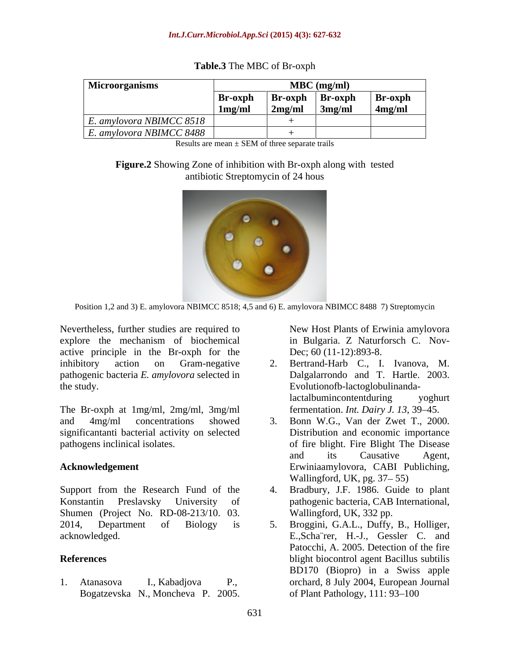| <b>Microorganisms</b>       | $MBC$ (mg/ml) |         |         |                |  |  |
|-----------------------------|---------------|---------|---------|----------------|--|--|
|                             | Br-oxph       | Br-oxph | Br-oxph | <b>Br-oxph</b> |  |  |
|                             | 1mg/ml        | 2mg/ml  | 3mg/ml  | 4mg/ml         |  |  |
| $E$ . amylovora NBIMCC 8518 |               |         |         |                |  |  |
| $E$ . amylovora NBIMCC 8488 |               |         |         |                |  |  |

**Table.3** The MBC of Br-oxph

Results are mean  $\pm$  SEM of three separate trails

## **Figure.2** Showing Zone of inhibition with Br-oxph along with tested antibiotic Streptomycin of 24 hous



Position 1,2 and 3) E. amylovora NBIMCC 8518; 4,5 and 6) E. amylovora NBIMCC 8488 7) Streptomycin

Nevertheless, further studies are required to explore the mechanism of biochemical active principle in the Br-oxph for the inhibitory action on Gram-negative 2. Bertrand-Harb C., I. Ivanova, M. pathogenic bacteria *E. amylovora* selected in the study. Evolutionofb-lactoglobulinanda-

The Br-oxph at 1mg/ml, 2mg/ml, 3mg/ml significantanti bacterial activity on selected

Support from the Research Fund of the 4. Konstantin Preslavsky University of pathogenic bacteria, CAB International, Shumen (Project No. RD-08-213/10. 03. 2014, Department of Biology is 5. Broggini, G.A.L., Duffy, B., Holliger,

Bogatzevska N., Moncheva P. 2005.

New Host Plants of Erwinia amylovora in Bulgaria. Z Naturforsch C. Nov- Dec; 60 (11-12):893-8.

- Dalgalarrondo and T. Hartle. 2003. lactalbumincontentduring yoghurt fermentation. *Int. Dairy J. 13*, 39 45.
- and 4mg/ml concentrations showed 3. Bonn W.G., Van der Zwet T., 2000. pathogens inclinical isolates. of fire blight. Fire Blight The Disease **Acknowledgement** Erwiniaamylovora, CABI Publiching, Distribution and economic importance and its Causative Agent, Wallingford, UK, pg.  $37-55$ )
	- 4. Bradbury, J.F. 1986. Guide to plant Wallingford, UK, 332 pp.
- acknowledged. E.,Scha¨rer, H.-J., Gessler C. and **References** blight biocontrol agent Bacillus subtilis 1. Atanasova I., Kabadjova P., orchard, 8 July 2004, European Journal Patocchi, A. 2005. Detection of the fire BD170 (Biopro) in a Swiss apple of Plant Pathology, 111: 93-100